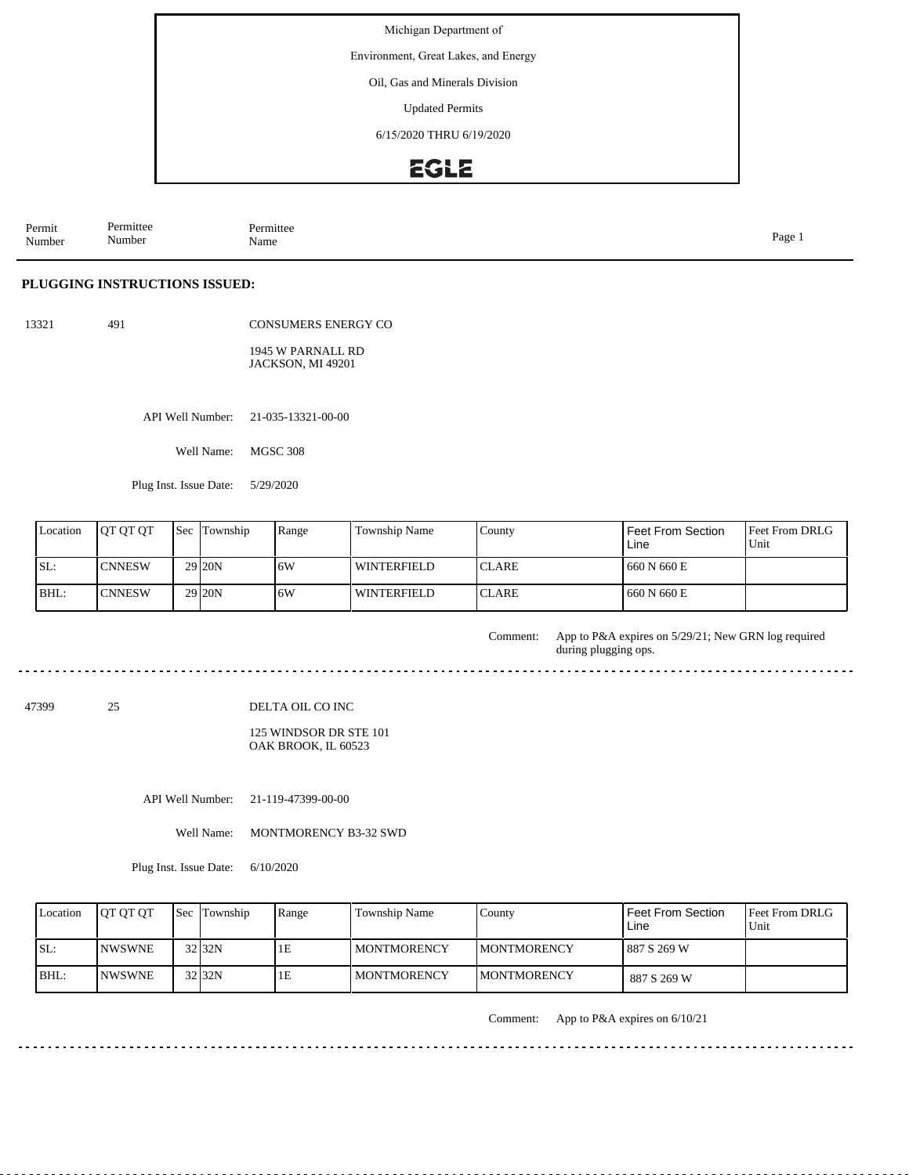Environment, Great Lakes, and Energy

Oil, Gas and Minerals Division

Updated Permits

6/15/2020 THRU 6/19/2020

### **EGLE**

| Permit<br>Number | -<br>Permittee<br>.<br>$\sim$ $\sim$<br>Number | Permittee<br>Name | Page<br>$\sim$ |
|------------------|------------------------------------------------|-------------------|----------------|
|------------------|------------------------------------------------|-------------------|----------------|

#### **PLUGGING INSTRUCTIONS ISSUED:**

491

CONSUMERS ENERGY CO

1945 W PARNALL RD JACKSON, MI 49201

API Well Number: 21-035-13321-00-00

Well Name: MGSC 308

Plug Inst. Issue Date: 5/29/2020

| Location | <b>IOT OT OT</b> | <b>Sec Township</b> | Range | Township Name      | County        | Feet From Section<br>Line | Feet From DRLG<br>Unit |
|----------|------------------|---------------------|-------|--------------------|---------------|---------------------------|------------------------|
| ISL:     | <b>CNNESW</b>    | 29 20N              | 16W   | WINTERFIELD        | <b>ICLARE</b> | 660 N 660 E               |                        |
| BHL:     | <b>CNNESW</b>    | 29 <sub>120</sub> N | ۱6W   | <b>WINTERFIELD</b> | <b>ICLARE</b> | 660 N 660 E               |                        |

App to P&A expires on 5/29/21; New GRN log required during plugging ops. Comment:

47399 25 DELTA OIL CO INC

> 125 WINDSOR DR STE 101 OAK BROOK, IL 60523

API Well Number: 21-119-47399-00-00

Well Name: MONTMORENCY B3-32 SWD

Plug Inst. Issue Date: 6/10/2020

| Location | <b>IOT OT OT</b> | <b>Sec</b> Township | Range | Township Name | County              | Feet From Section<br>Line | <b>Feet From DRLG</b><br>Unit |
|----------|------------------|---------------------|-------|---------------|---------------------|---------------------------|-------------------------------|
| ISL:     | <b>INWSWNE</b>   | 32 32N              | 1E    | MONTMORENCY   | <b>IMONTMORENCY</b> | 887 S 269 W               |                               |
| $IBHL$ : | <b>INWSWNE</b>   | 32 32N              | 1E    | MONTMORENCY   | <b>IMONTMORENCY</b> | 887 S 269 W               |                               |

Comment: App to P&A expires on 6/10/21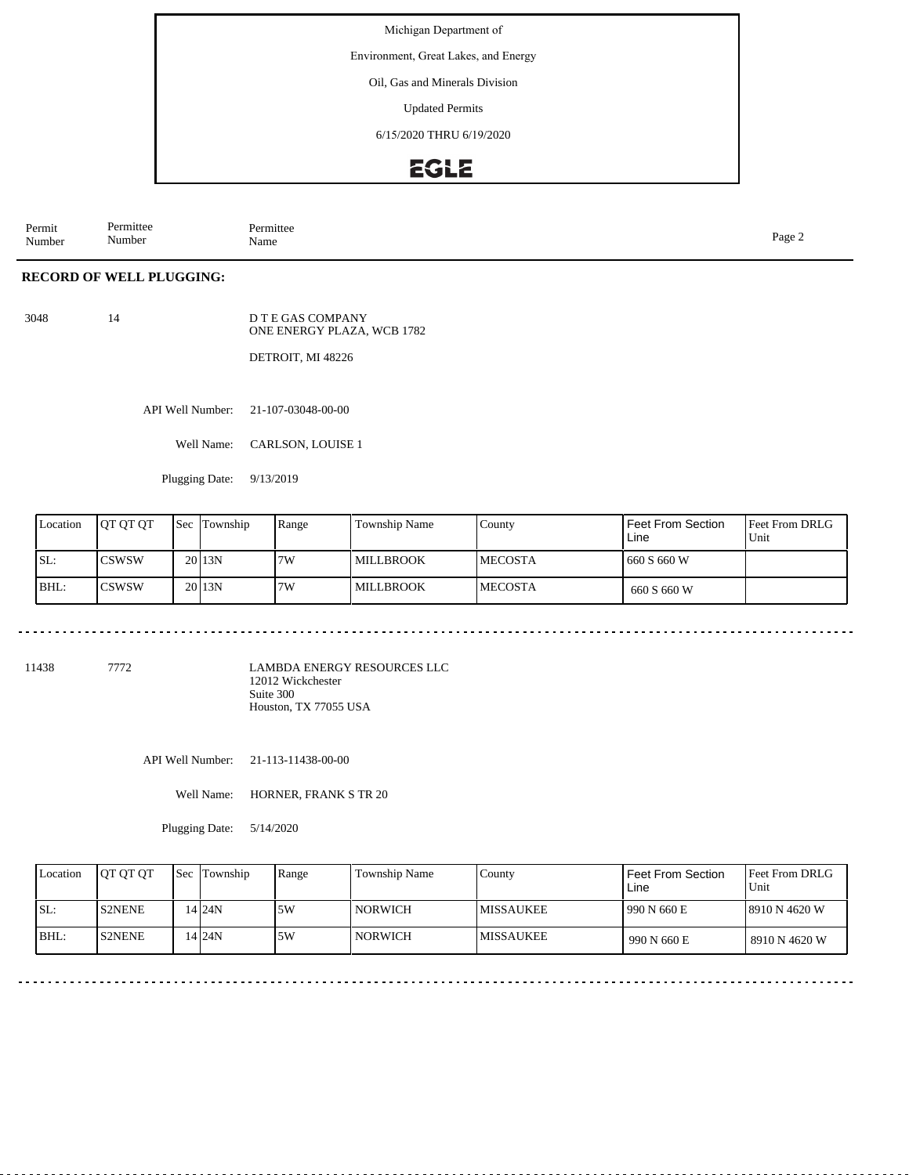Environment, Great Lakes, and Energy

Oil, Gas and Minerals Division

Updated Permits

6/15/2020 THRU 6/19/2020

### **EGLE**

Permit Number Permittee Number Permittee<br>Name Page 2<br>Name

#### **RECORD OF WELL PLUGGING:**

14

D T E GAS COMPANY ONE ENERGY PLAZA, WCB 1782

DETROIT, MI 48226

API Well Number: 21-107-03048-00-00

Well Name: CARLSON, LOUISE 1

Plugging Date: 9/13/2019

| Location | <b>IOT OT OT</b> | <b>Sec</b> Township | Range | Township Name      | County          | Feet From Section<br>Line | <b>Feet From DRLG</b><br>Unit |
|----------|------------------|---------------------|-------|--------------------|-----------------|---------------------------|-------------------------------|
| ISL:     | <b>CSWSW</b>     | 20 <sub>13N</sub>   | 7W    | <b>I MILLBROOK</b> | <b>IMECOSTA</b> | 660 S 660 W               |                               |
| IBHL:    | <b>CSWSW</b>     | 20113N              | 7W    | <b>MILLBROOK</b>   | <b>IMECOSTA</b> | 660 S 660 W               |                               |

<u>. . . . . . . .</u>

11438 7772

LAMBDA ENERGY RESOURCES LLC 12012 Wickchester Suite 300 Houston, TX 77055 USA

API Well Number: 21-113-11438-00-00

Well Name: HORNER, FRANK S TR 20

Plugging Date: 5/14/2020

| Location | <b>JOT OT OT</b> | <b>Sec Township</b> | Range | <b>Township Name</b> | Countv            | <b>Feet From Section</b><br>Line | <b>Feet From DRLG</b><br>Unit |
|----------|------------------|---------------------|-------|----------------------|-------------------|----------------------------------|-------------------------------|
| ISL:     | <b>S2NENE</b>    | 14 24 N             | 5W    | NORWICH              | <b>IMISSAUKEE</b> | 990 N 660 E                      | 18910 N 4620 W                |
| BHL:     | <b>S2NENE</b>    | 14 I24N             | 5W    | NORWICH              | <b>IMISSAUKEE</b> | 990 N 660 E                      | 18910 N 4620 W                |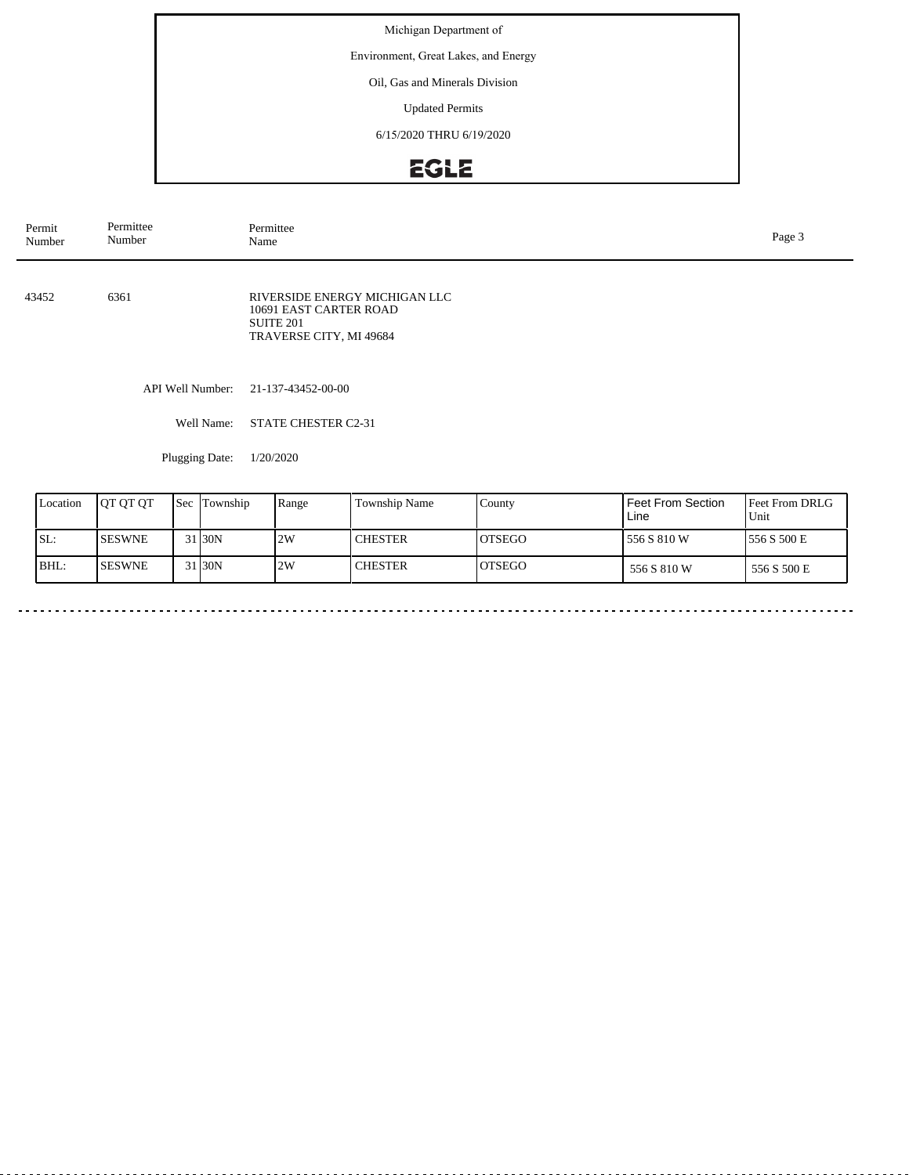Environment, Great Lakes, and Energy

Oil, Gas and Minerals Division

Updated Permits

6/15/2020 THRU 6/19/2020

# EGLE

| Permit<br>Number | Permittee<br>Number                                                  | Permittee<br>Name                                                                               | Page 3             |                          |                             |  |  |  |
|------------------|----------------------------------------------------------------------|-------------------------------------------------------------------------------------------------|--------------------|--------------------------|-----------------------------|--|--|--|
| 43452            | 6361                                                                 | RIVERSIDE ENERGY MICHIGAN LLC<br>10691 EAST CARTER ROAD<br>SUITE 201<br>TRAVERSE CITY, MI 49684 |                    |                          |                             |  |  |  |
|                  | API Well Number:                                                     | 21-137-43452-00-00                                                                              |                    |                          |                             |  |  |  |
|                  | Well Name:                                                           | STATE CHESTER C2-31                                                                             |                    |                          |                             |  |  |  |
|                  | Plugging Date:                                                       | 1/20/2020                                                                                       |                    |                          |                             |  |  |  |
| Location         | $\epsilon$ $\epsilon$ $\epsilon$ $\epsilon$ $\epsilon$<br>$10L$ $0L$ | Township Name<br>$\mathbf{p}_{\mathbf{ana}}$                                                    | $C_{\text{Ounty}}$ | <b>Feet From Section</b> | $E_{\text{net}}$ Erom DRI G |  |  |  |

| Location | <b>JOT OT OT</b> | <b>Sec</b> Township | Range | <b>Township Name</b> | County         | <b>Feet From Section</b><br>Line | <b>IFeet From DRLG</b><br>Unit |
|----------|------------------|---------------------|-------|----------------------|----------------|----------------------------------|--------------------------------|
| SL:      | ISESWNE          | 31 30N              | 2W    | <b>CHESTER</b>       | IOTSEGO        | 556 S 810 W                      | 1556 S 500 E                   |
| BHL:     | <b>ISESWNE</b>   | 31 30N              | 2W    | <b>CHESTER</b>       | <b>IOTSEGO</b> | 556 S 810 W                      | 556 S 500 E                    |

 $\sim$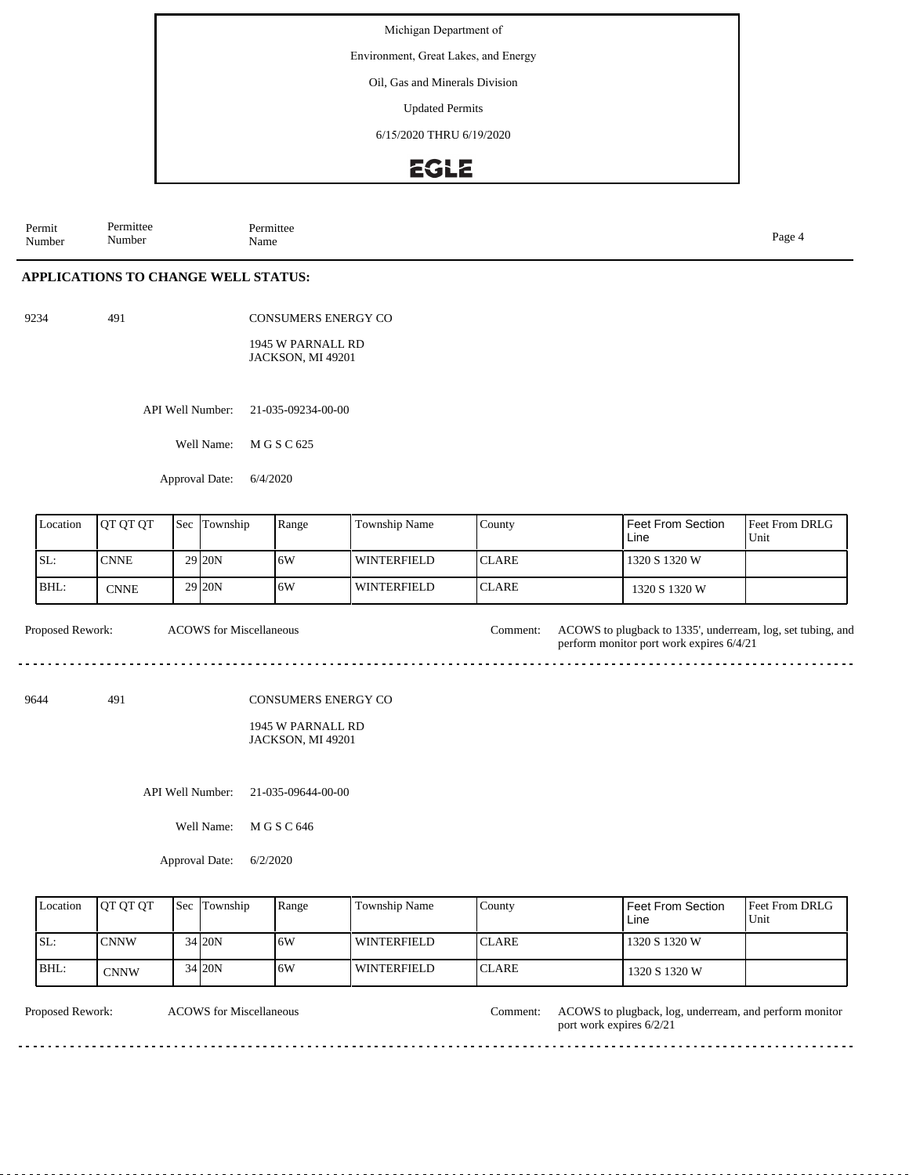Environment, Great Lakes, and Energy

Oil, Gas and Minerals Division

Updated Permits

6/15/2020 THRU 6/19/2020

#### **EGLE**

Permit Number Permittee Number Permittee<br>Name Name Page 4

#### **APPLICATIONS TO CHANGE WELL STATUS:**

9234 491

CONSUMERS ENERGY CO

1945 W PARNALL RD JACKSON, MI 49201

API Well Number: 21-035-09234-00-00

Well Name: M G S C 625

Approval Date: 6/4/2020

| Location | <b>IOT OT OT</b> | <b>Sec</b> | Township          | Range | Township Name      | County        | Feet From Section<br>Line | <b>Feet From DRLG</b><br>Unit |
|----------|------------------|------------|-------------------|-------|--------------------|---------------|---------------------------|-------------------------------|
| SL:      | <b>CNNE</b>      |            | 29 <sub>20N</sub> | 16W   | <b>WINTERFIELD</b> | <b>ICLARE</b> | 1320 S 1320 W             |                               |
| BHL:     | <b>CNNE</b>      |            | 29 <sub>20N</sub> | 6W    | <b>WINTERFIELD</b> | <b>ICLARE</b> | 1320 S 1320 W             |                               |

Proposed Rework: ACOWS to plugback to 1335', underream, log, set tubing, and ACOWS for Miscellaneous

9644 491

CONSUMERS ENERGY CO

#### 1945 W PARNALL RD JACKSON, MI 49201

API Well Number: 21-035-09644-00-00

Well Name: M G S C 646

Approval Date: 6/2/2020

| Location | <b>OT OT OT</b> | <b>Sec Township</b> | Range | Township Name      | County        | Feet From Section<br>Line | <b>IFeet From DRLG</b><br>Unit |
|----------|-----------------|---------------------|-------|--------------------|---------------|---------------------------|--------------------------------|
| ISL:     | <b>ICNNW</b>    | 34 20N              | 16W   | WINTERFIELD        | <b>ICLARE</b> | 1320 S 1320 W             |                                |
| BHL:     | CNNW            | 34 20N              | 16W   | <b>WINTERFIELD</b> | <b>ICLARE</b> | 1320 S 1320 W             |                                |

ACOWS for Miscellaneous

port work expires 6/2/21

Proposed Rework: ACOWS to plugback, log, underream, and perform monitor

perform monitor port work expires 6/4/21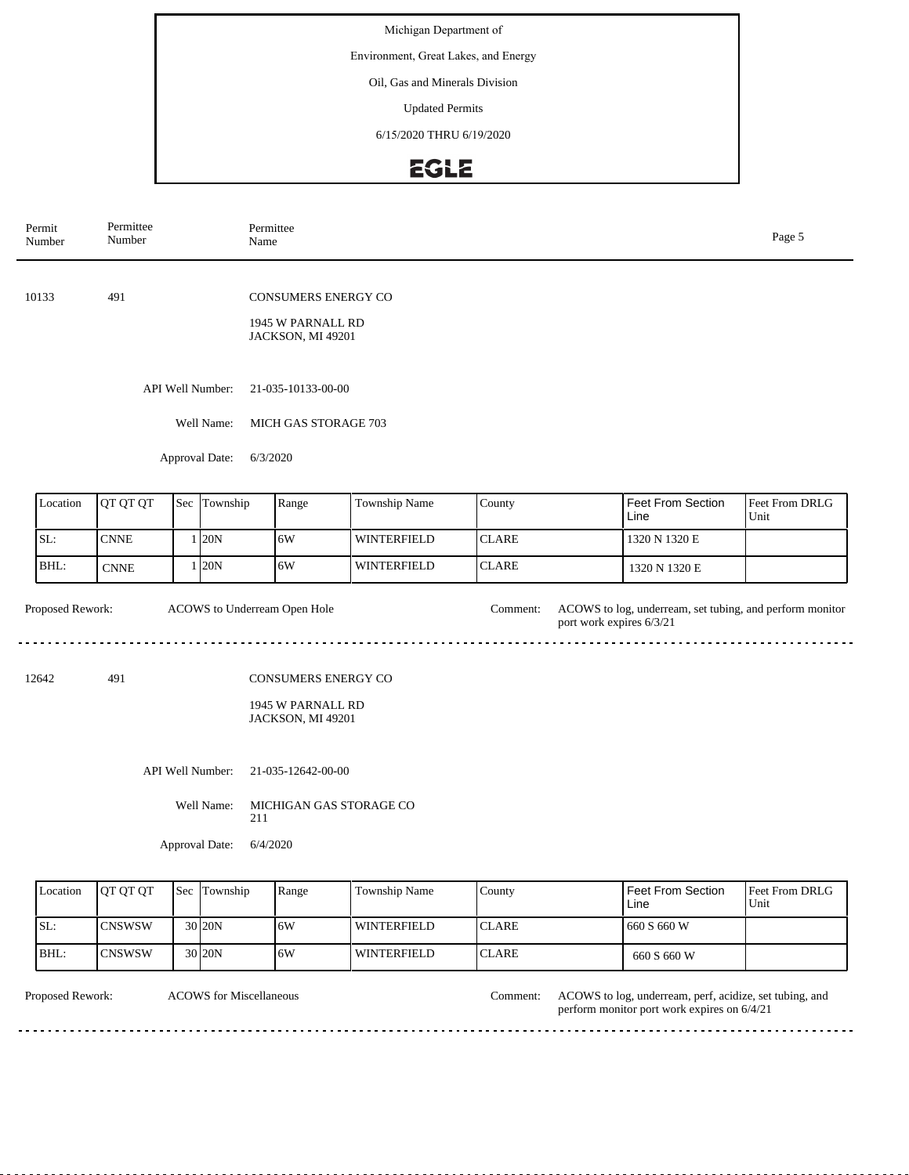Environment, Great Lakes, and Energy

Oil, Gas and Minerals Division

Updated Permits

6/15/2020 THRU 6/19/2020

## EGLE

| Permit<br>Number                   | Permittee<br>Number          |              |                  | Permittee<br>Name                                                    |                    |              |                          |                                                          |                        |  |  |
|------------------------------------|------------------------------|--------------|------------------|----------------------------------------------------------------------|--------------------|--------------|--------------------------|----------------------------------------------------------|------------------------|--|--|
| 10133                              | 491                          |              |                  | <b>CONSUMERS ENERGY CO</b><br>1945 W PARNALL RD<br>JACKSON, MI 49201 |                    |              |                          |                                                          |                        |  |  |
|                                    |                              |              | API Well Number: |                                                                      | 21-035-10133-00-00 |              |                          |                                                          |                        |  |  |
| Well Name:<br>MICH GAS STORAGE 703 |                              |              |                  |                                                                      |                    |              |                          |                                                          |                        |  |  |
| 6/3/2020<br>Approval Date:         |                              |              |                  |                                                                      |                    |              |                          |                                                          |                        |  |  |
|                                    |                              |              |                  |                                                                      |                    |              |                          |                                                          |                        |  |  |
| Location                           | QT QT QT                     | Sec          | Township         | Range                                                                | Township Name      | County       |                          | Feet From Section<br>Line                                | Feet From DRLG<br>Unit |  |  |
| SL:                                | $\ensuremath{\mathrm{CNNE}}$ | 1            | 20N              | 6W                                                                   | <b>WINTERFIELD</b> | <b>CLARE</b> |                          | 1320 N 1320 E                                            |                        |  |  |
| BHL:                               | <b>CNNE</b>                  | $\mathbf{1}$ | 20N              | 6W                                                                   | <b>WINTERFIELD</b> | <b>CLARE</b> |                          | 1320 N 1320 E                                            |                        |  |  |
| Proposed Rework:                   |                              |              |                  | ACOWS to Underream Open Hole                                         |                    | Comment:     | port work expires 6/3/21 | ACOWS to log, underream, set tubing, and perform monitor |                        |  |  |
| 12642                              | 491                          |              |                  | CONSUMERS ENERGY CO                                                  |                    |              |                          |                                                          |                        |  |  |
|                                    |                              |              |                  | 1945 W PARNALL RD<br>JACKSON, MI 49201                               |                    |              |                          |                                                          |                        |  |  |
|                                    |                              |              | API Well Number: | 21-035-12642-00-00                                                   |                    |              |                          |                                                          |                        |  |  |
|                                    |                              |              | Well Name:       | MICHIGAN GAS STORAGE CO<br>211                                       |                    |              |                          |                                                          |                        |  |  |
|                                    |                              |              | Approval Date:   | 6/4/2020                                                             |                    |              |                          |                                                          |                        |  |  |

| Location | <b>IOT OT OT</b> | <b>Sec</b> Township | Range | Township Name | County        | Feet From Section<br>Line | <b>Feet From DRLG</b><br>Unit |
|----------|------------------|---------------------|-------|---------------|---------------|---------------------------|-------------------------------|
| ISL:     | ICNSWSW          | 30 20N              | 16W   | l winterfield | <b>CLARE</b>  | 660 S 660 W               |                               |
| IBHL:    | <b>ICNSWSW</b>   | 30 20N              | 16W   | WINTERFIELD   | <b>ICLARE</b> | 660 S 660 W               |                               |

ACOWS for Miscellaneous Comment:

Proposed Rework: ACOWS for Miscellaneous Comment: ACOWS to log, underream, perf, acidize, set tubing, and perform monitor port work expires on 6/4/21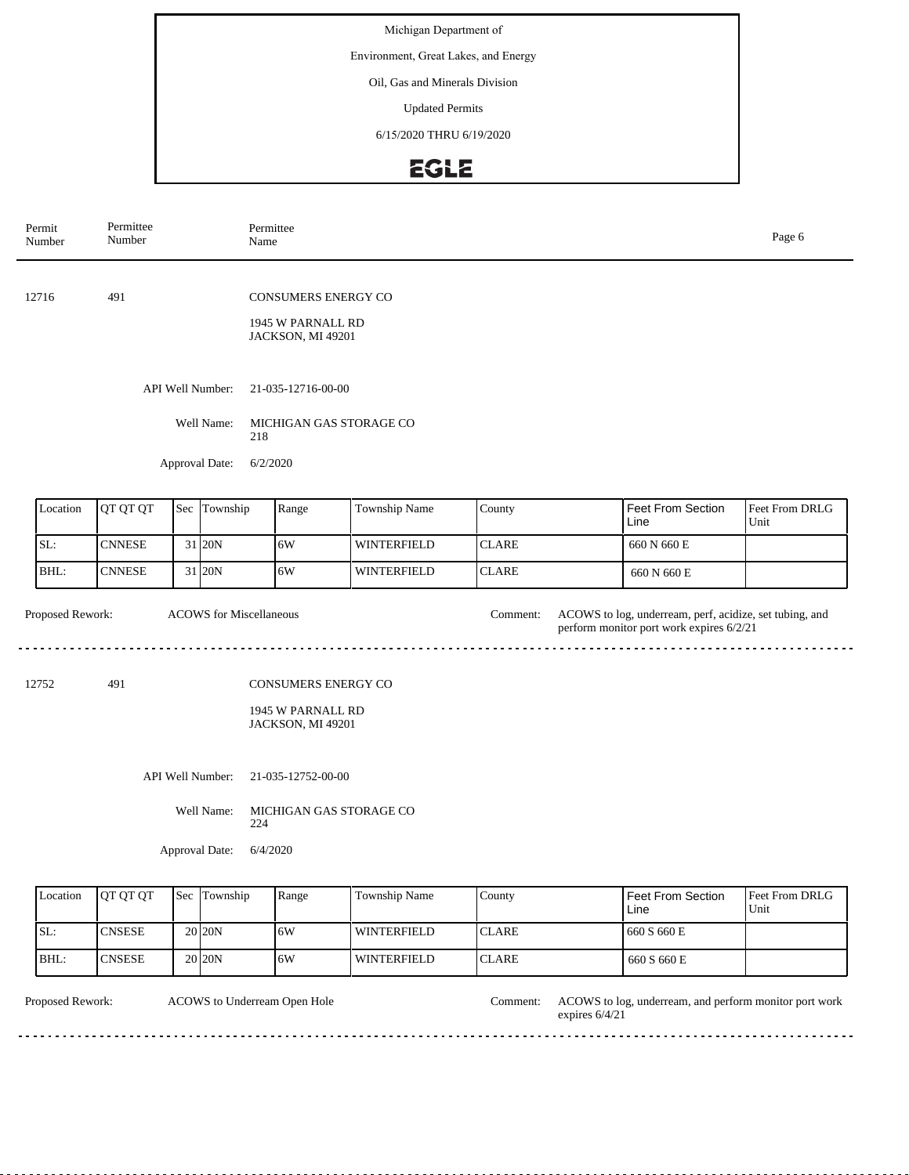Environment, Great Lakes, and Energy

Oil, Gas and Minerals Division

Updated Permits

6/15/2020 THRU 6/19/2020

## EGLE

| Permit<br>Number | Permittee<br>Number |              |                                |     | Permittee<br>Name                                             |                      | Page 6       |          |                                                                                                     |                        |  |
|------------------|---------------------|--------------|--------------------------------|-----|---------------------------------------------------------------|----------------------|--------------|----------|-----------------------------------------------------------------------------------------------------|------------------------|--|
| 12716            | 491                 |              |                                |     | CONSUMERS ENERGY CO<br>1945 W PARNALL RD<br>JACKSON, MI 49201 |                      |              |          |                                                                                                     |                        |  |
|                  |                     |              | API Well Number:               |     | 21-035-12716-00-00                                            |                      |              |          |                                                                                                     |                        |  |
|                  |                     |              | Well Name:                     | 218 | MICHIGAN GAS STORAGE CO                                       |                      |              |          |                                                                                                     |                        |  |
|                  |                     |              | Approval Date:                 |     | 6/2/2020                                                      |                      |              |          |                                                                                                     |                        |  |
| Location         | QT QT QT            | Sec Township |                                |     | Range                                                         | <b>Township Name</b> | County       |          | <b>Feet From Section</b><br>Line                                                                    | Feet From DRLG<br>Unit |  |
| SL:              | <b>CNNESE</b>       |              | 31 20N                         |     | 6W                                                            | <b>WINTERFIELD</b>   | <b>CLARE</b> |          | 660 N 660 E                                                                                         |                        |  |
| BHL:             | <b>CNNESE</b>       |              | 31 20N                         |     | 6W                                                            | WINTERFIELD          | <b>CLARE</b> |          | 660 N 660 E                                                                                         |                        |  |
| Proposed Rework: |                     |              | <b>ACOWS</b> for Miscellaneous |     |                                                               |                      |              | Comment: | ACOWS to log, underream, perf, acidize, set tubing, and<br>perform monitor port work expires 6/2/21 |                        |  |
| 12752            | 491                 |              |                                |     | CONSUMERS ENERGY CO                                           |                      |              |          |                                                                                                     |                        |  |
|                  |                     |              |                                |     | 1945 W PARNALL RD<br>JACKSON, MI 49201                        |                      |              |          |                                                                                                     |                        |  |
| API Well Number: |                     |              |                                |     | 21-035-12752-00-00                                            |                      |              |          |                                                                                                     |                        |  |
|                  |                     |              | Well Name:                     | 224 | MICHIGAN GAS STORAGE CO                                       |                      |              |          |                                                                                                     |                        |  |

Approval Date: 6/4/2020

| Location | <b>JOT OT OT</b> | <b>Sec Township</b> | Range | <b>Township Name</b> | County        | I Feet From Section<br>Line | <b>Feet From DRLG</b><br>Unit |
|----------|------------------|---------------------|-------|----------------------|---------------|-----------------------------|-------------------------------|
| SL:      | <b>CNSESE</b>    | 20 <sub>120</sub> N | 16W   | <b>WINTERFIELD</b>   | <b>ICLARE</b> | 1660 S 660 E                |                               |
| BHL:     | <b>CNSESE</b>    | 20 <sub>20</sub> N  | 16W   | WINTERFIELD          | <b>ICLARE</b> | 660 S 660 E                 |                               |

| Proposed Rework: | ACOWS to Underream Open Hole | Comment: | ACOWS to log, underream, and perform monitor port work<br>expires $6/4/21$ |
|------------------|------------------------------|----------|----------------------------------------------------------------------------|
|                  |                              |          |                                                                            |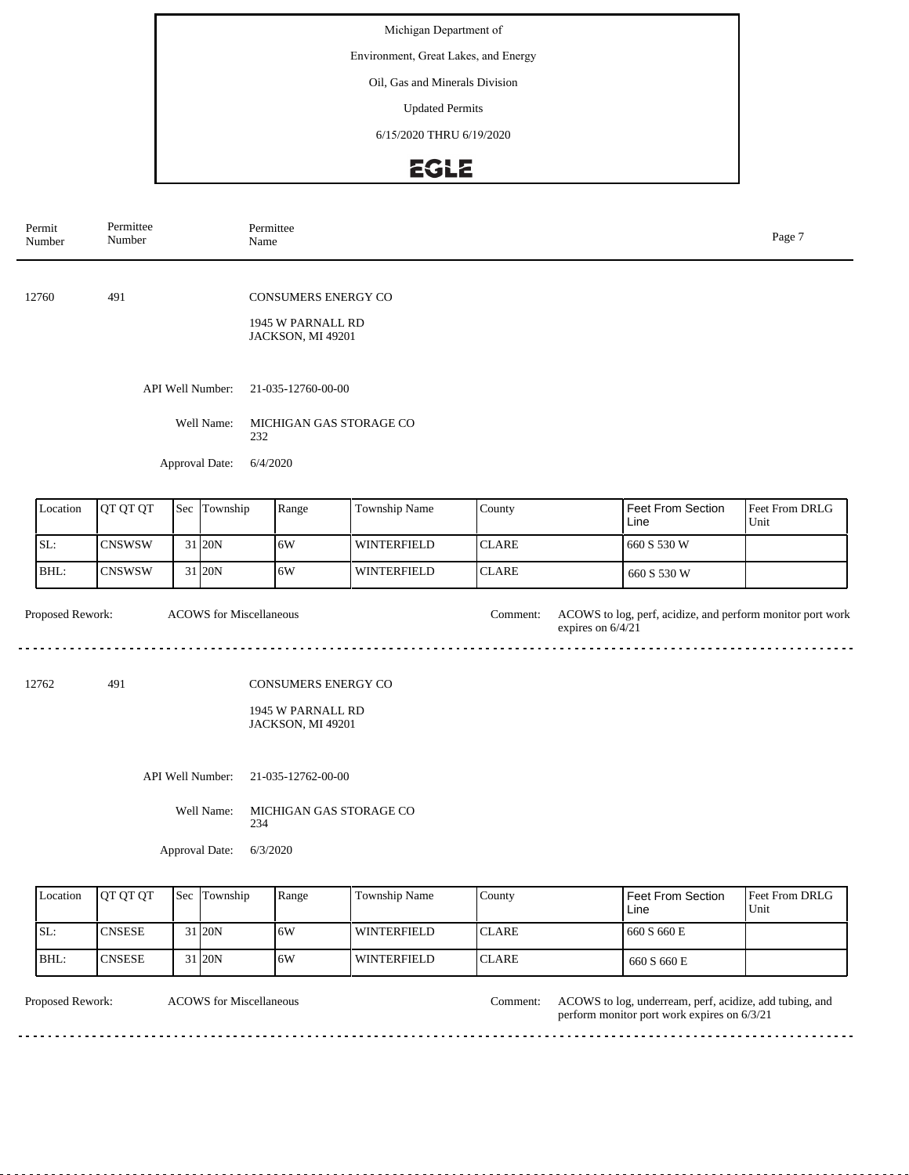Environment, Great Lakes, and Energy

Oil, Gas and Minerals Division

Updated Permits

6/15/2020 THRU 6/19/2020

## EGLE

| Permit<br>Number | Permittee<br>Number |  |                                | Permittee<br>Name                                             |                         |              |                                                                                 |                        |  |  |  |
|------------------|---------------------|--|--------------------------------|---------------------------------------------------------------|-------------------------|--------------|---------------------------------------------------------------------------------|------------------------|--|--|--|
| 12760            | 491                 |  |                                | CONSUMERS ENERGY CO<br>1945 W PARNALL RD<br>JACKSON, MI 49201 |                         |              |                                                                                 |                        |  |  |  |
|                  |                     |  | API Well Number:               | 21-035-12760-00-00                                            |                         |              |                                                                                 |                        |  |  |  |
|                  |                     |  | Well Name:                     | 232                                                           | MICHIGAN GAS STORAGE CO |              |                                                                                 |                        |  |  |  |
|                  |                     |  | Approval Date:                 | 6/4/2020                                                      |                         |              |                                                                                 |                        |  |  |  |
| Location         | QT QT QT            |  | Sec Township                   | Range                                                         | Township Name           | County       | Feet From Section<br>Line                                                       | Feet From DRLG<br>Unit |  |  |  |
| SL:              | <b>CNSWSW</b>       |  | 31 20N                         | 6W                                                            | <b>WINTERFIELD</b>      | <b>CLARE</b> | 660 S 530 W                                                                     |                        |  |  |  |
| BHL:             | <b>CNSWSW</b>       |  | 31 20N                         | 6W                                                            | <b>WINTERFIELD</b>      | <b>CLARE</b> | 660 S 530 W                                                                     |                        |  |  |  |
| Proposed Rework: |                     |  | <b>ACOWS</b> for Miscellaneous |                                                               |                         | Comment:     | ACOWS to log, perf, acidize, and perform monitor port work<br>expires on 6/4/21 |                        |  |  |  |
| 491<br>12762     |                     |  |                                | CONSUMERS ENERGY CO<br>1945 W PARNALL RD<br>JACKSON, MI 49201 |                         |              |                                                                                 |                        |  |  |  |
|                  |                     |  | API Well Number:               | 21-035-12762-00-00                                            |                         |              |                                                                                 |                        |  |  |  |
|                  |                     |  | Well Name:                     | 234                                                           | MICHIGAN GAS STORAGE CO |              |                                                                                 |                        |  |  |  |
|                  |                     |  | Approval Date:                 | 6/3/2020                                                      |                         |              |                                                                                 |                        |  |  |  |
| Location         | OT OT OT            |  | Sec Township                   | Range                                                         | <b>Township Name</b>    | County       | Feet From Section                                                               | Feet From DRLG         |  |  |  |

| Location | <b>IOT OT OT</b> | <b>Sec Township</b> | Range | <b>Township Name</b> | County        | l Feet From Section<br>Line | <b>Feet From DRLG</b><br>Unit |
|----------|------------------|---------------------|-------|----------------------|---------------|-----------------------------|-------------------------------|
| ISL:     | <b>ICNSESE</b>   | 1 20N               | .6W   | <b>WINTERFIELD</b>   | <b>ICLARE</b> | 1 660 S 660 E               |                               |
| IBHL     | ICNSESE          | 1 20N               | 6W    | WINTERFIELD          | <b>ICLARE</b> | 660 S 660 E                 |                               |

ACOWS for Miscellaneous Comment:

Proposed Rework: ACOWS for Miscellaneous and the comment: ACOWS to log, underream, perf, acidize, add tubing, and perform monitor port work expires on 6/3/21

> a a a a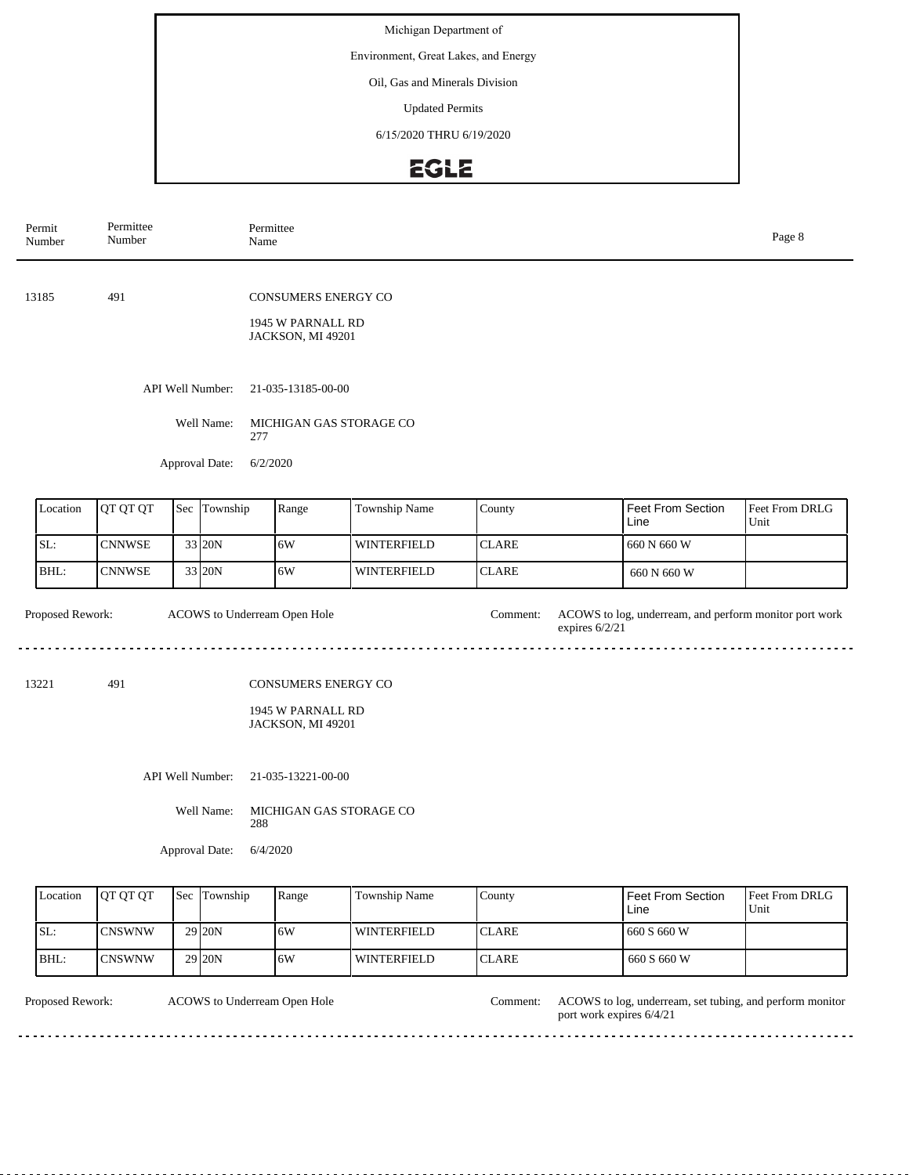Environment, Great Lakes, and Energy

Oil, Gas and Minerals Division

Updated Permits

6/15/2020 THRU 6/19/2020

# EGLE

| Permit<br>Number | Permittee<br>Number |  |                                                  | Permittee<br>Name              |                                                                                                                        |               |              |  |                           | Page 8                 |  |
|------------------|---------------------|--|--------------------------------------------------|--------------------------------|------------------------------------------------------------------------------------------------------------------------|---------------|--------------|--|---------------------------|------------------------|--|
| 13185            | 491                 |  |                                                  |                                | <b>CONSUMERS ENERGY CO</b><br>1945 W PARNALL RD<br>JACKSON, MI 49201                                                   |               |              |  |                           |                        |  |
|                  |                     |  | API Well Number:<br>Well Name:<br>Approval Date: | 277                            | 21-035-13185-00-00<br>MICHIGAN GAS STORAGE CO<br>6/2/2020                                                              |               |              |  |                           |                        |  |
| Location         | QT QT QT            |  | Sec Township                                     |                                | Range                                                                                                                  | Township Name | County       |  | Feet From Section<br>Line | Feet From DRLG<br>Unit |  |
| SL:              | <b>CNNWSE</b>       |  | 33 20N                                           |                                | 6W                                                                                                                     | WINTERFIELD   | <b>CLARE</b> |  | 660 N 660 W               |                        |  |
| BHL:             | <b>CNNWSE</b>       |  | 33 20N                                           |                                | 6W                                                                                                                     | WINTERFIELD   | <b>CLARE</b> |  | 660 N 660 W               |                        |  |
| Proposed Rework: |                     |  |                                                  |                                | ACOWS to Underream Open Hole<br>ACOWS to log, underream, and perform monitor port work<br>Comment:<br>expires $6/2/21$ |               |              |  |                           |                        |  |
| 13221<br>491     |                     |  |                                                  |                                | CONSUMERS ENERGY CO<br>1945 W PARNALL RD<br>JACKSON, MI 49201                                                          |               |              |  |                           |                        |  |
|                  |                     |  | API Well Number:                                 | 21-035-13221-00-00             |                                                                                                                        |               |              |  |                           |                        |  |
|                  |                     |  | Well Name:                                       | MICHIGAN GAS STORAGE CO<br>288 |                                                                                                                        |               |              |  |                           |                        |  |
|                  |                     |  | Approval Date:                                   |                                | 6/4/2020                                                                                                               |               |              |  |                           |                        |  |

| Location | <b>IOT OT OT</b> | <b>Sec</b> | Township          | Range | Township Name | County        | Feet From Section<br>Line | <b>Feet From DRLG</b><br>Unit |
|----------|------------------|------------|-------------------|-------|---------------|---------------|---------------------------|-------------------------------|
| SL:      | <b>ICNSWNW</b>   |            | 29 <sub>20N</sub> | 16W   | l winterfield | <b>ICLARE</b> | 660 S 660 W               |                               |
| BHL:     | ICNSWNW          |            | 29 <sub>20N</sub> | 16W   | l winterfield | <b>ICLARE</b> | 660 S 660 W               |                               |

| <b>Proposed Rework:</b> | ACOWS to Underream Open Hole | Comment: | ACOWS to log, underream, set tubing, and perform monitor<br>port work expires 6/4/21 |
|-------------------------|------------------------------|----------|--------------------------------------------------------------------------------------|
|                         |                              |          |                                                                                      |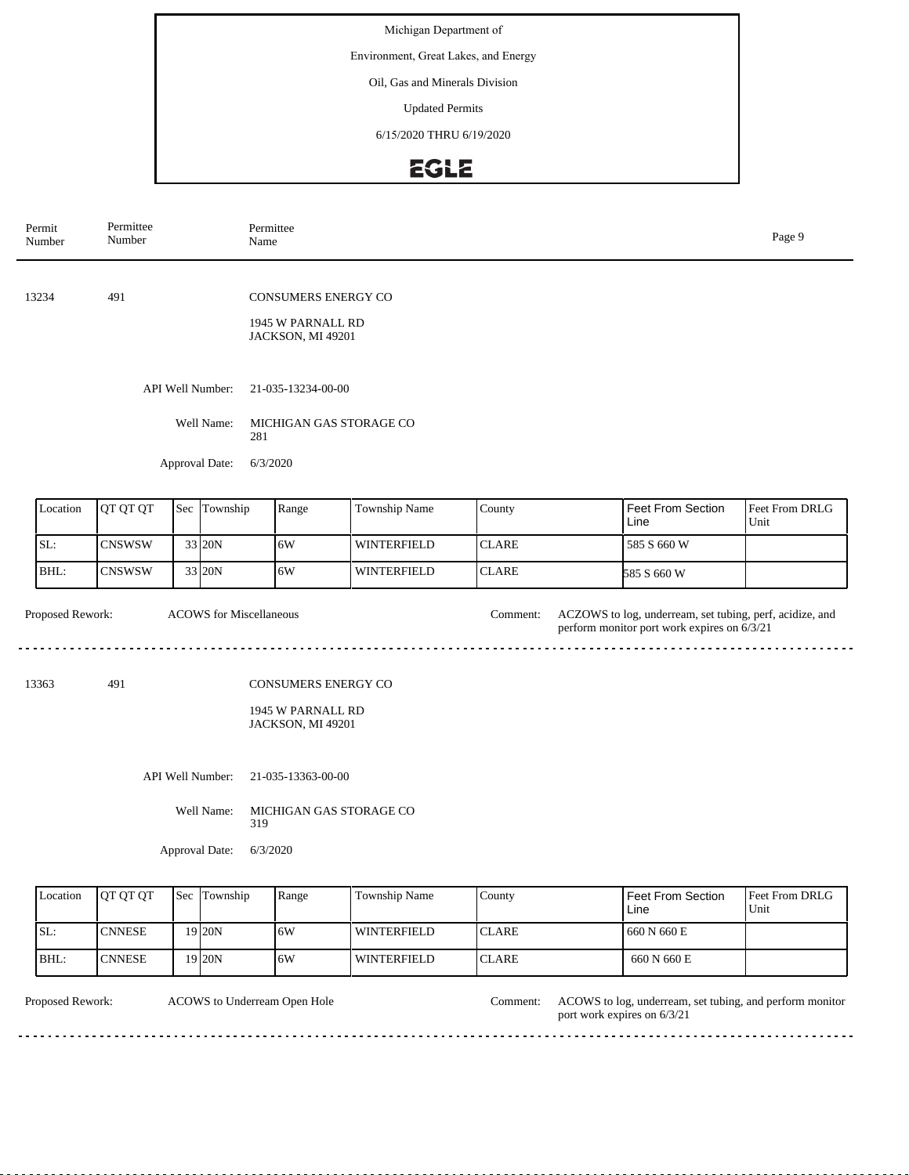Environment, Great Lakes, and Energy

Oil, Gas and Minerals Division

Updated Permits

6/15/2020 THRU 6/19/2020

## EGLE

| Permit<br>Number | Permittee<br>Number |  |                                | Permittee<br>Name |                                                                      |                    |              |  |                                                                                                         | Page 9                 |  |
|------------------|---------------------|--|--------------------------------|-------------------|----------------------------------------------------------------------|--------------------|--------------|--|---------------------------------------------------------------------------------------------------------|------------------------|--|
| 13234            | 491                 |  |                                |                   | <b>CONSUMERS ENERGY CO</b><br>1945 W PARNALL RD<br>JACKSON, MI 49201 |                    |              |  |                                                                                                         |                        |  |
|                  |                     |  | API Well Number:               |                   | 21-035-13234-00-00                                                   |                    |              |  |                                                                                                         |                        |  |
|                  |                     |  | Well Name:                     | 281               | MICHIGAN GAS STORAGE CO                                              |                    |              |  |                                                                                                         |                        |  |
|                  |                     |  | Approval Date:                 | 6/3/2020          |                                                                      |                    |              |  |                                                                                                         |                        |  |
| Location         | QT QT QT            |  | Sec Township                   |                   | Range                                                                | Township Name      | County       |  | Feet From Section<br>Line                                                                               | Feet From DRLG<br>Unit |  |
| SL:              | <b>CNSWSW</b>       |  | 33 20N                         |                   | 6W                                                                   | <b>WINTERFIELD</b> | <b>CLARE</b> |  | 585 S 660 W                                                                                             |                        |  |
| BHL:             | <b>CNSWSW</b>       |  | 33 20N                         |                   | 6W                                                                   | <b>WINTERFIELD</b> | <b>CLARE</b> |  | 585 S 660 W                                                                                             |                        |  |
| Proposed Rework: |                     |  | <b>ACOWS</b> for Miscellaneous |                   |                                                                      |                    | Comment:     |  | ACZOWS to log, underream, set tubing, perf, acidize, and<br>perform monitor port work expires on 6/3/21 |                        |  |
| 13363            | 491                 |  |                                |                   | CONSUMERS ENERGY CO                                                  |                    |              |  |                                                                                                         |                        |  |
|                  |                     |  |                                |                   | 1945 W PARNALL RD<br>JACKSON, MI 49201                               |                    |              |  |                                                                                                         |                        |  |
|                  |                     |  | API Well Number:               |                   | 21-035-13363-00-00                                                   |                    |              |  |                                                                                                         |                        |  |
| Well Name:       |                     |  |                                |                   | MICHIGAN GAS STORAGE CO<br>319                                       |                    |              |  |                                                                                                         |                        |  |

Approval Date: 6/3/2020

| Location | <b>IOT OT OT</b> | <b>Sec</b> Township | Range | <b>Township Name</b> | County        | <b>Feet From Section</b><br>Line | <b>Feet From DRLG</b><br>Unit |
|----------|------------------|---------------------|-------|----------------------|---------------|----------------------------------|-------------------------------|
| ISL:     | <b>CNNESE</b>    | 19 I20N             | 16W   | WINTERFIELD          | ICLARE        | 660 N 660 E                      |                               |
| IBHL:    | <b>CNNESE</b>    | 19 <sub>20N</sub>   | 16W   | <b>WINTERFIELD</b>   | <b>ICLARE</b> | 660 N 660 E                      |                               |

ACOWS to Underream Open Hole Comment:

Proposed Rework: ACOWS to log, underream, set tubing, and perform monitor port work expires on 6/3/21

. . . . . . . . . . . . . . . . . .

 $\overline{1}$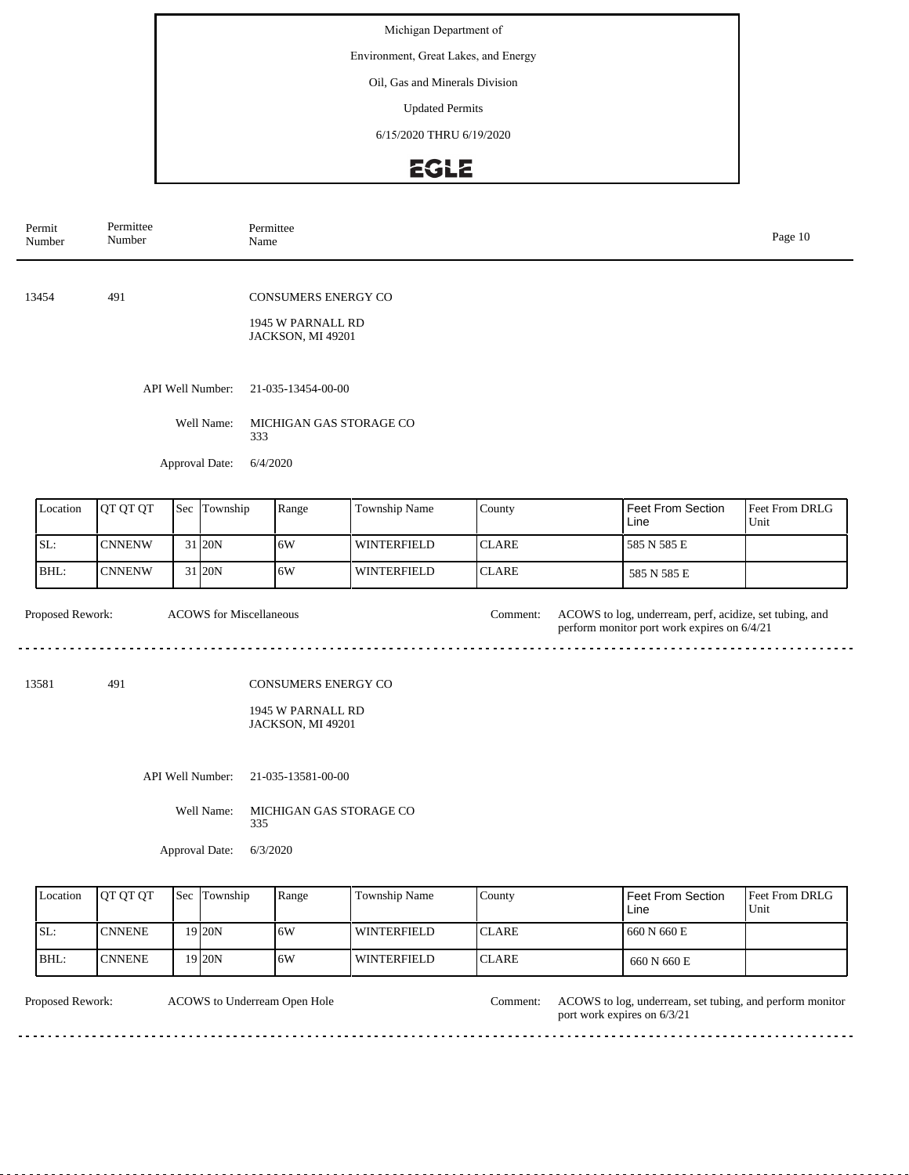Environment, Great Lakes, and Energy

Oil, Gas and Minerals Division

Updated Permits

6/15/2020 THRU 6/19/2020

## EGLE

| Permit<br>Number | Permittee<br>Number |  |                                | Permittee<br>Name |                                                                      |                    |              |  |                                                                                                        | Page 10                |  |
|------------------|---------------------|--|--------------------------------|-------------------|----------------------------------------------------------------------|--------------------|--------------|--|--------------------------------------------------------------------------------------------------------|------------------------|--|
| 13454            | 491                 |  |                                |                   | <b>CONSUMERS ENERGY CO</b><br>1945 W PARNALL RD<br>JACKSON, MI 49201 |                    |              |  |                                                                                                        |                        |  |
|                  |                     |  | API Well Number:<br>Well Name: |                   | 21-035-13454-00-00<br>MICHIGAN GAS STORAGE CO                        |                    |              |  |                                                                                                        |                        |  |
|                  |                     |  | Approval Date:                 |                   | 333<br>6/4/2020                                                      |                    |              |  |                                                                                                        |                        |  |
| Location         | QT QT QT            |  | Sec Township                   |                   | Range                                                                | Township Name      | County       |  | Feet From Section<br>Line                                                                              | Feet From DRLG<br>Unit |  |
| SL:              | <b>CNNENW</b>       |  | 31 20N                         |                   | 6W                                                                   | <b>WINTERFIELD</b> | <b>CLARE</b> |  | 585 N 585 E                                                                                            |                        |  |
| BHL:             | <b>CNNENW</b>       |  | 31 20N                         |                   | 6W                                                                   | <b>WINTERFIELD</b> | <b>CLARE</b> |  | 585 N 585 E                                                                                            |                        |  |
| Proposed Rework: |                     |  | <b>ACOWS</b> for Miscellaneous |                   |                                                                      |                    | Comment:     |  | ACOWS to log, underream, perf, acidize, set tubing, and<br>perform monitor port work expires on 6/4/21 |                        |  |
| 491<br>13581     |                     |  |                                |                   | <b>CONSUMERS ENERGY CO</b><br>1945 W PARNALL RD<br>JACKSON, MI 49201 |                    |              |  |                                                                                                        |                        |  |
|                  |                     |  | API Well Number:               |                   | 21-035-13581-00-00                                                   |                    |              |  |                                                                                                        |                        |  |
|                  |                     |  | Well Name:                     | 335               | MICHIGAN GAS STORAGE CO                                              |                    |              |  |                                                                                                        |                        |  |
|                  |                     |  | Approval Date:                 | 6/3/2020          |                                                                      |                    |              |  |                                                                                                        |                        |  |

| Location | <b>IOT OT OT</b> | <b>Sec</b> Township | Range | Township Name | County        | <b>Feet From Section</b><br>Line | <b>Feet From DRLG</b><br>Unit |
|----------|------------------|---------------------|-------|---------------|---------------|----------------------------------|-------------------------------|
| SL:      | <b>CNNENE</b>    | 19 20N              | ا 6W  | WINTERFIELD   | <b>ICLARE</b> | 1660 N 660 E                     |                               |
| BHL:     | ICNNENE.         | 19 I20N             | ا 6W  | l winterfield | <b>ICLARE</b> | 660 N 660 E                      |                               |

ACOWS to Underream Open Hole Comment:

Proposed Rework: ACOWS to log, underream, set tubing, and perform monitor port work expires on 6/3/21

. . . . . . . . . . . .

 $\ddot{\phantom{a}}$ 

 $\sim$ 

. . . .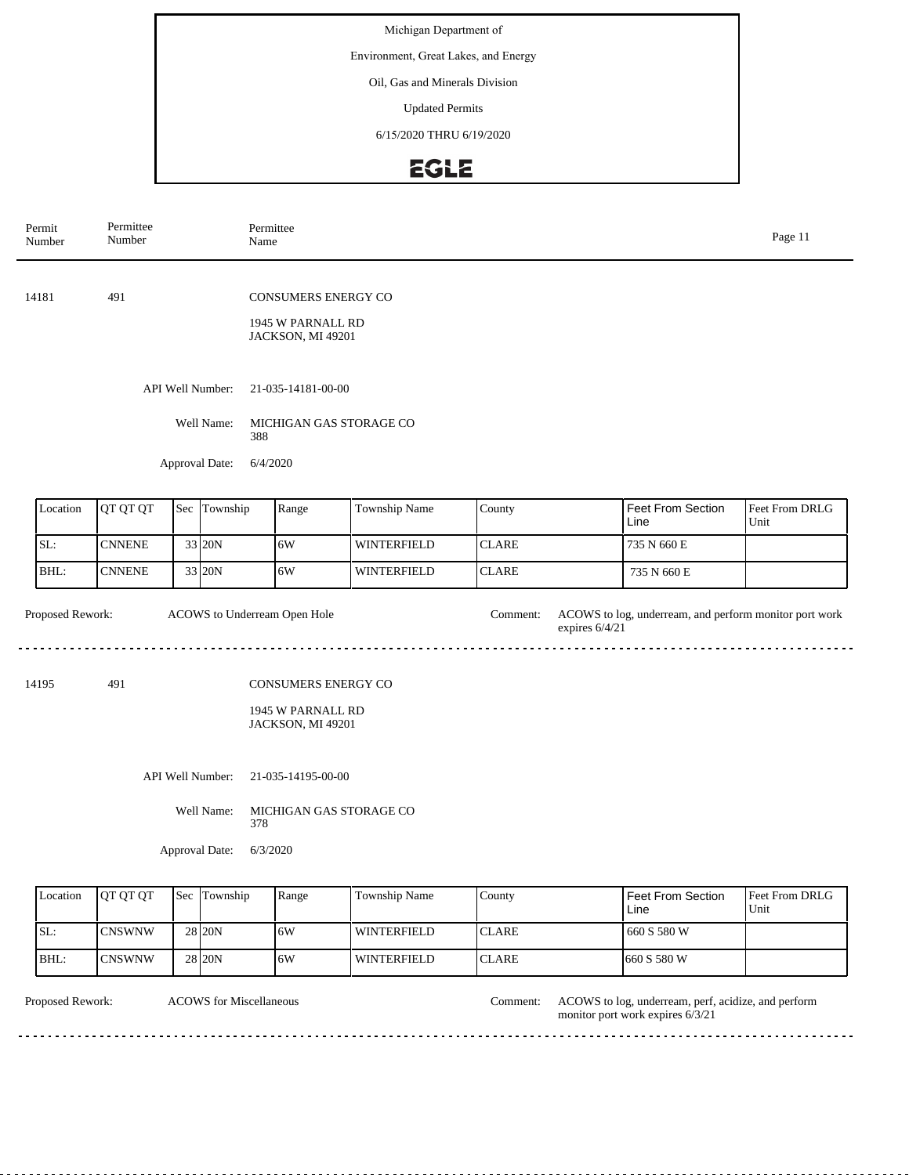Environment, Great Lakes, and Energy

Oil, Gas and Minerals Division

Updated Permits

6/15/2020 THRU 6/19/2020

## EGLE

| Permit<br>Number                       | Permittee<br>Number |  |                  | Permittee<br>Name |                                                                      |                    |              |                  |                                                        | Page 11                |
|----------------------------------------|---------------------|--|------------------|-------------------|----------------------------------------------------------------------|--------------------|--------------|------------------|--------------------------------------------------------|------------------------|
| 14181                                  | 491                 |  |                  |                   | CONSUMERS ENERGY CO<br>1945 W PARNALL RD<br>JACKSON, MI 49201        |                    |              |                  |                                                        |                        |
|                                        |                     |  | API Well Number: |                   | 21-035-14181-00-00                                                   |                    |              |                  |                                                        |                        |
|                                        |                     |  | Well Name:       | 388               | MICHIGAN GAS STORAGE CO                                              |                    |              |                  |                                                        |                        |
|                                        |                     |  | Approval Date:   | 6/4/2020          |                                                                      |                    |              |                  |                                                        |                        |
| Location                               | QT QT QT            |  | Sec Township     |                   | Range                                                                | Township Name      | County       |                  | Feet From Section<br>Line                              | Feet From DRLG<br>Unit |
| SL:                                    | <b>CNNENE</b>       |  | 33 20N           |                   | 6W                                                                   | <b>WINTERFIELD</b> | <b>CLARE</b> |                  | 735 N 660 E                                            |                        |
| BHL:                                   | <b>CNNENE</b>       |  | 33 20N           |                   | 6W                                                                   | <b>WINTERFIELD</b> | <b>CLARE</b> |                  | 735 N 660 E                                            |                        |
| Proposed Rework:                       |                     |  |                  |                   | ACOWS to Underream Open Hole                                         |                    | Comment:     | expires $6/4/21$ | ACOWS to log, underream, and perform monitor port work |                        |
| 491<br>14195                           |                     |  |                  |                   | <b>CONSUMERS ENERGY CO</b><br>1945 W PARNALL RD<br>JACKSON, MI 49201 |                    |              |                  |                                                        |                        |
| API Well Number:<br>21-035-14195-00-00 |                     |  |                  |                   |                                                                      |                    |              |                  |                                                        |                        |
|                                        |                     |  | Well Name:       | 378               | MICHIGAN GAS STORAGE CO                                              |                    |              |                  |                                                        |                        |
|                                        |                     |  | Approval Date:   | 6/3/2020          |                                                                      |                    |              |                  |                                                        |                        |

| Location | <b>IOT OT OT</b> | <b>Sec Township</b> | Range | Township Name       | County        | Feet From Section<br>Line | <b>Feet From DRLG</b><br>Unit |
|----------|------------------|---------------------|-------|---------------------|---------------|---------------------------|-------------------------------|
| SL:      | <b>CNSWNW</b>    | 28 <sub>120</sub> N | 16W   | <b>LWINTERFIELD</b> | <b>ICLARE</b> | 660 S 580 W               |                               |
| BHL:     | <b>ICNSWNW</b>   | 28 <sub>20N</sub>   | 6W    | l winterfield       | <b>ICLARE</b> | 1660 S 580 W              |                               |

ACOWS for Miscellaneous Comment:

Proposed Rework: ACOWS to log, underream, perf, acidize, and perform monitor port work expires 6/3/21  $\mathbb{Z}$  and

. . . . . . . . . . .

. . . . . .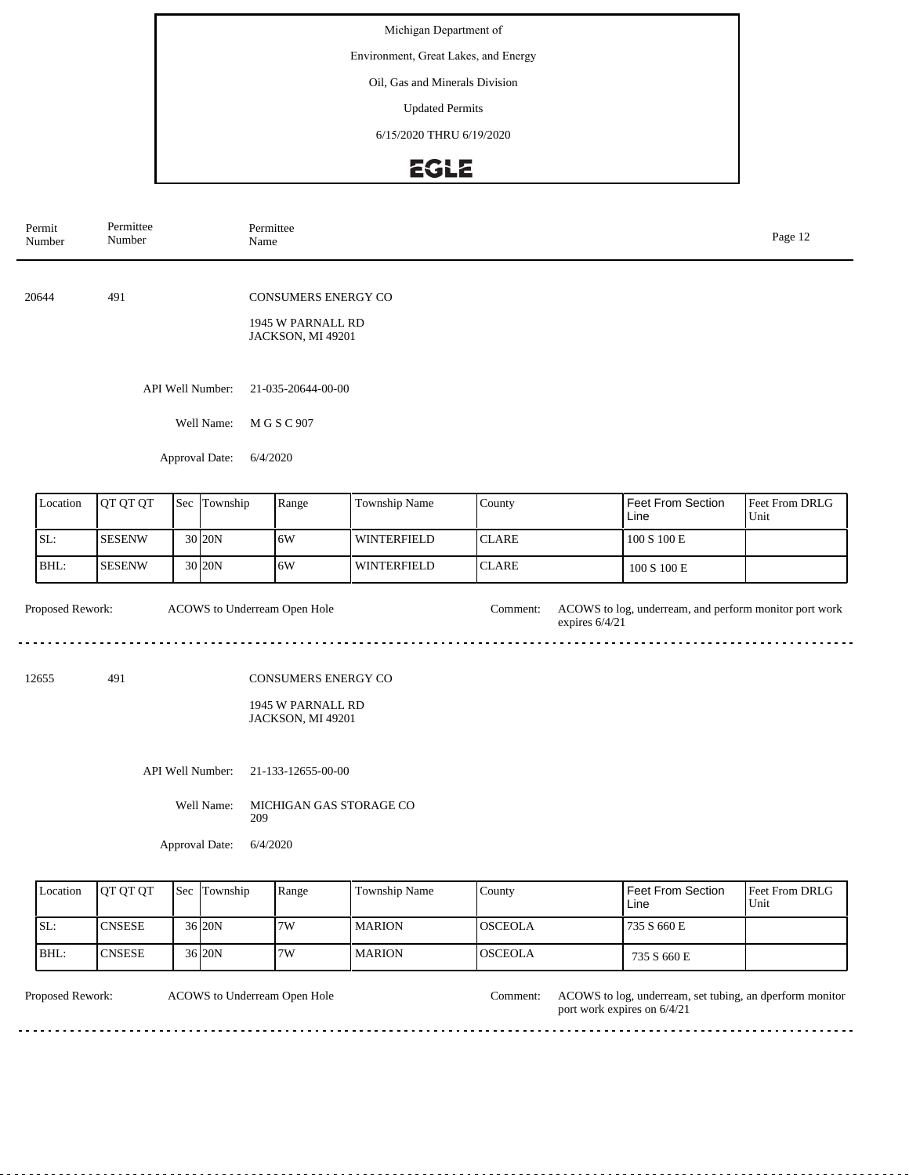Environment, Great Lakes, and Energy

Oil, Gas and Minerals Division

Updated Permits

6/15/2020 THRU 6/19/2020

## EGLE

| Permit<br>Number | Permittee<br>Number                | Name                         | Permittee                                                            |               |              |                  |                                                        | Page 12                |
|------------------|------------------------------------|------------------------------|----------------------------------------------------------------------|---------------|--------------|------------------|--------------------------------------------------------|------------------------|
| 20644            | 491                                |                              | <b>CONSUMERS ENERGY CO</b><br>1945 W PARNALL RD<br>JACKSON, MI 49201 |               |              |                  |                                                        |                        |
|                  | API Well Number:<br>Approval Date: |                              |                                                                      |               |              |                  |                                                        |                        |
| Location         | QT QT QT                           | Sec Township                 | Range                                                                | Township Name | County       |                  | Feet From Section<br>Line                              | Feet From DRLG<br>Unit |
| SL:              | <b>SESENW</b>                      | 30 20N                       | 6W                                                                   | WINTERFIELD   | <b>CLARE</b> |                  | $100$ S $100\to$                                       |                        |
| BHL:             | <b>SESENW</b>                      | 30 20N                       | 6W                                                                   | WINTERFIELD   | <b>CLARE</b> |                  | 100 S 100 E                                            |                        |
| Proposed Rework: |                                    | ACOWS to Underream Open Hole |                                                                      |               | Comment:     | expires $6/4/21$ | ACOWS to log, underream, and perform monitor port work |                        |
| 12655            | 491                                |                              | CONSUMERS ENERGY CO<br>1945 W PARNALL RD<br>JACKSON, MI 49201        |               |              |                  |                                                        |                        |
|                  |                                    | API Well Number:             | 21-133-12655-00-00                                                   |               |              |                  |                                                        |                        |

Well Name: MICHIGAN GAS STORAGE CO 209

Approval Date: 6/4/2020

| Location | <b>OT OT OT</b> | <b>Sec</b> Township | Range | Township Name | County          | Feet From Section<br>Line | <b>Feet From DRLG</b><br>Unit |
|----------|-----------------|---------------------|-------|---------------|-----------------|---------------------------|-------------------------------|
| SL:      | <b>CNSESE</b>   | 36 20N              | 7W    | <b>MARION</b> | <b>IOSCEOLA</b> | 735 S 660 E               |                               |
| BHL:     | 'CNSESE         | 36 20N              | 7W    | <b>MARION</b> | <b>OSCEOLA</b>  | 735 S 660 E               |                               |

ACOWS to Underream Open Hole

Proposed Rework: ACOWS to Underream Open Hole Comment: ACOWS to log, underream, set tubing, an dperform monitor port work expires on 6/4/21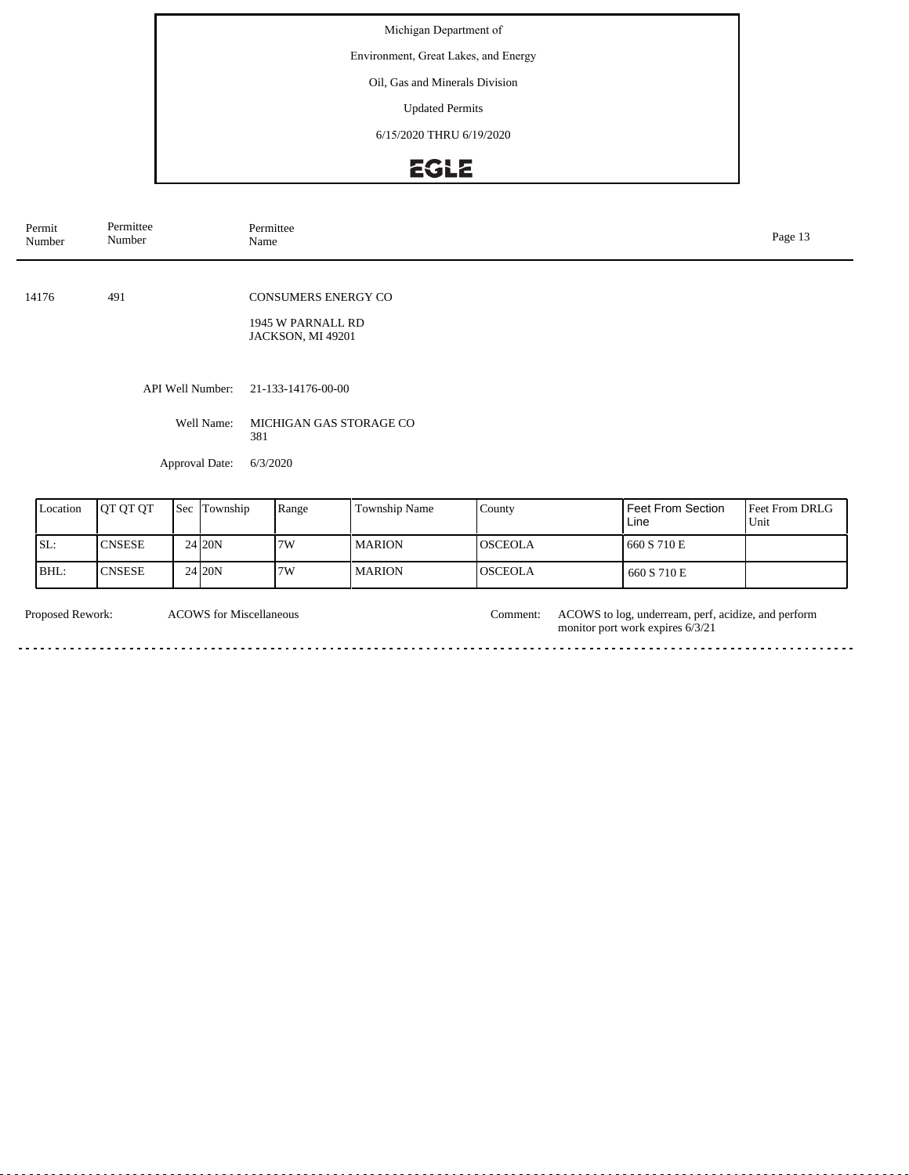Environment, Great Lakes, and Energy

Oil, Gas and Minerals Division

Updated Permits

6/15/2020 THRU 6/19/2020

# EGLE

| Permit<br>Number | Permittee<br>Number |     |                            | Permittee<br>Page 13<br>Name                                  |               |        |                           |                                   |  |
|------------------|---------------------|-----|----------------------------|---------------------------------------------------------------|---------------|--------|---------------------------|-----------------------------------|--|
| 14176            | 491                 |     |                            | CONSUMERS ENERGY CO<br>1945 W PARNALL RD<br>JACKSON, MI 49201 |               |        |                           |                                   |  |
|                  |                     |     | API Well Number:           | 21-133-14176-00-00                                            |               |        |                           |                                   |  |
|                  |                     |     | Well Name:<br>381          | MICHIGAN GAS STORAGE CO                                       |               |        |                           |                                   |  |
|                  |                     |     | Approval Date:<br>6/3/2020 |                                                               |               |        |                           |                                   |  |
| Location         | QT QT QT            | Sec | Township                   | Range                                                         | Township Name | County | Feet From Section<br>1:22 | Feet From DRLG<br>TT <sub>2</sub> |  |

| Location | <b>OT OT OT</b> | Sec Township         | Range | <b>Township Name</b> | County          | <b>Feet From Section</b><br>Line | <b>Feet From DRLG</b><br>Unit |
|----------|-----------------|----------------------|-------|----------------------|-----------------|----------------------------------|-------------------------------|
| SL:      | <b>CNSESE</b>   | 24 20N               | 7W    | <b>MARION</b>        | <b>IOSCEOLA</b> | 660 S 710 E                      |                               |
| BHL:     | <b>ICNSESE</b>  | $24$ <sub>20</sub> N | 7W    | <b>MARION</b>        | <b>OSCEOLA</b>  | 660 S 710 E                      |                               |

| <b>Proposed Rework:</b> | <b>ACOWS</b> for Miscellaneous | .'omment: | ACOWS to log, underream, perf, acidize, and perform<br>monitor port work expires 6/3/21 |
|-------------------------|--------------------------------|-----------|-----------------------------------------------------------------------------------------|
|                         |                                |           |                                                                                         |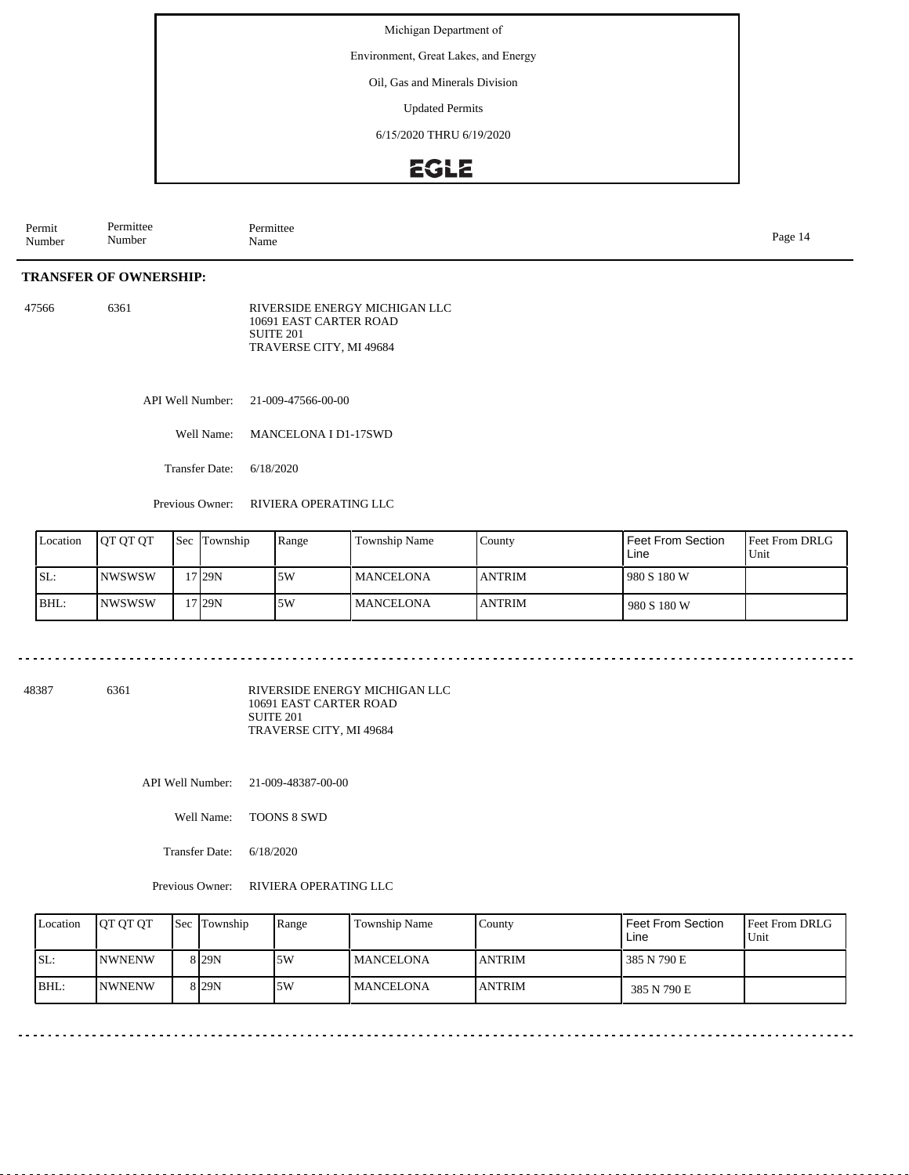Environment, Great Lakes, and Energy

Oil, Gas and Minerals Division

Updated Permits

6/15/2020 THRU 6/19/2020

### **EGLE**

| Permit<br>Number | $\overline{\phantom{a}}$<br>Permittee<br>Number | $\sim$<br>Permittee<br>Name | Page |
|------------------|-------------------------------------------------|-----------------------------|------|
|------------------|-------------------------------------------------|-----------------------------|------|

#### **TRANSFER OF OWNERSHIP:**

| 47566 | 6361 | RIVERSIDE ENERGY MICHIGAN LLC |
|-------|------|-------------------------------|
|       |      | 10691 EAST CARTER ROAD        |
|       |      | SUITE 201                     |
|       |      | TRAVERSE CITY, MI 49684       |

API Well Number: 21-009-47566-00-00

Well Name: MANCELONA I D1-17SWD

Transfer Date: 6/18/2020

Previous Owner: RIVIERA OPERATING LLC

| Location | <b>IOT OT OT</b> | <b>Sec Township</b> | Range | Township Name    | Countv        | <b>Feet From Section</b><br>Line | <b>Feet From DRLG</b><br>Unit |
|----------|------------------|---------------------|-------|------------------|---------------|----------------------------------|-------------------------------|
| SL:      | <b>INWSWSW</b>   | 7 29 N              | .5W   | <b>MANCELONA</b> | <b>ANTRIM</b> | 1980 S 180 W                     |                               |
| BHL:     | <b>INWSWSW</b>   | '7 29N              | .5W   | <b>MANCELONA</b> | <b>ANTRIM</b> | 980 S 180 W                      |                               |

48387 6361

RIVERSIDE ENERGY MICHIGAN LLC 10691 EAST CARTER ROAD SUITE 201 TRAVERSE CITY, MI 49684

API Well Number: 21-009-48387-00-00

Well Name: TOONS 8 SWD

Transfer Date: 6/18/2020

Previous Owner: RIVIERA OPERATING LLC

| Location | <b>OT OT OT</b> | Sec Township | Range | Township Name    | County         | Feet From Section<br>Line | <b>Feet From DRLG</b><br>Unit |
|----------|-----------------|--------------|-------|------------------|----------------|---------------------------|-------------------------------|
| SL:      | <b>NWNENW</b>   | 8 I 29 N     | 5W    | <b>MANCELONA</b> | <b>LANTRIM</b> | 385 N 790 E               |                               |
| BHL:     | <b>NWNENW</b>   | 8 I 29 N     | 5W    | <b>MANCELONA</b> | <b>IANTRIM</b> | 385 N 790 E               |                               |